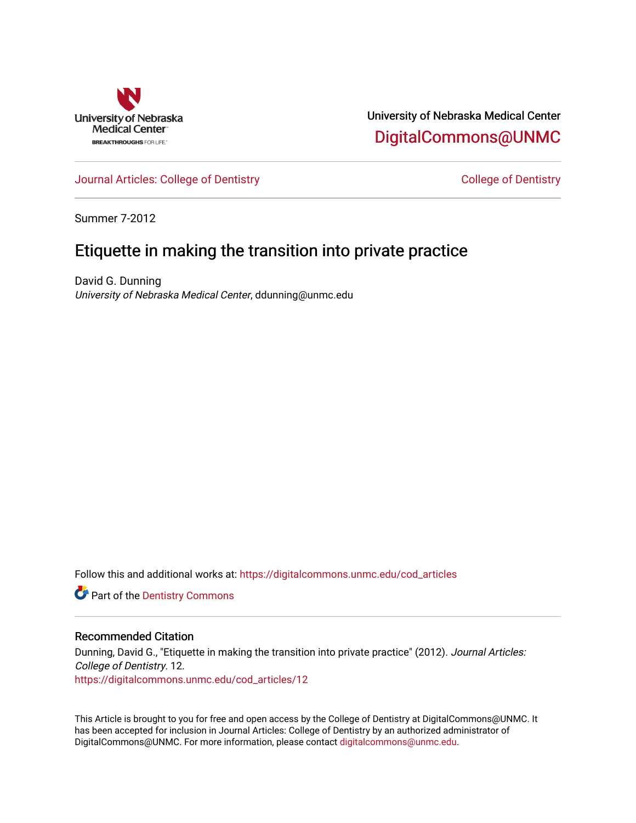

University of Nebraska Medical Center [DigitalCommons@UNMC](https://digitalcommons.unmc.edu/) 

[Journal Articles: College of Dentistry](https://digitalcommons.unmc.edu/cod_articles) [College of Dentistry](https://digitalcommons.unmc.edu/cod) College of Dentistry

Summer 7-2012

## Etiquette in making the transition into private practice

David G. Dunning University of Nebraska Medical Center, ddunning@unmc.edu

Follow this and additional works at: [https://digitalcommons.unmc.edu/cod\\_articles](https://digitalcommons.unmc.edu/cod_articles?utm_source=digitalcommons.unmc.edu%2Fcod_articles%2F12&utm_medium=PDF&utm_campaign=PDFCoverPages)

**Part of the Dentistry Commons** 

#### Recommended Citation

Dunning, David G., "Etiquette in making the transition into private practice" (2012). Journal Articles: College of Dentistry. 12. [https://digitalcommons.unmc.edu/cod\\_articles/12](https://digitalcommons.unmc.edu/cod_articles/12?utm_source=digitalcommons.unmc.edu%2Fcod_articles%2F12&utm_medium=PDF&utm_campaign=PDFCoverPages) 

This Article is brought to you for free and open access by the College of Dentistry at DigitalCommons@UNMC. It has been accepted for inclusion in Journal Articles: College of Dentistry by an authorized administrator of DigitalCommons@UNMC. For more information, please contact [digitalcommons@unmc.edu.](mailto:digitalcommons@unmc.edu)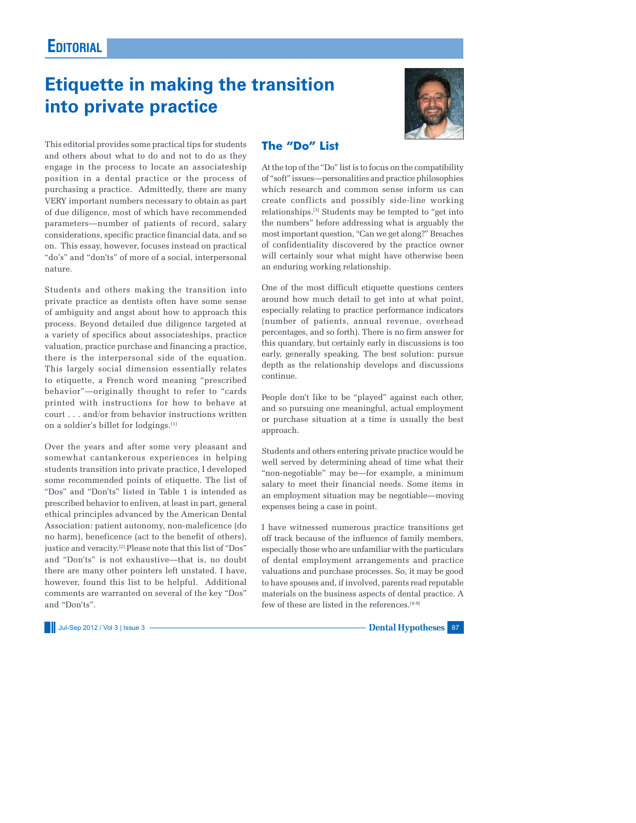## **EDITORIAL**

# **Etiquette in making the transition into private practice**



This editorial provides some practical tips for students and others about what to do and not to do as they engage in the process to locate an associateship position in a dental practice or the process of purchasing a practice. Admittedly, there are many VERY important numbers necessary to obtain as part of due diligence, most of which have recommended parameters—number of patients of record, salary considerations, specific practice financial data, and so on. This essay, however, focuses instead on practical "do's" and "don'ts" of more of a social, interpersonal nature.

Students and others making the transition into private practice as dentists often have some sense of ambiguity and angst about how to approach this process. Beyond detailed due diligence targeted at a variety of specifics about associateships, practice valuation, practice purchase and financing a practice, there is the interpersonal side of the equation. This largely social dimension essentially relates to etiquette, a French word meaning "prescribed behavior"—originally thought to refer to "cards printed with instructions for how to behave at court . . . and/or from behavior instructions written on a soldier's billet for lodgings.[1]

Over the years and after some very pleasant and somewhat cantankerous experiences in helping students transition into private practice, I developed some recommended points of etiquette. The list of "Dos" and "Don'ts" listed in Table 1 is intended as prescribed behavior to enliven, at least in part, general ethical principles advanced by the American Dental Association: patient autonomy, non-maleficence (do no harm), beneficence (act to the benefit of others), justice and veracity.<sup>[2]</sup> Please note that this list of "Dos" and "Don'ts" is not exhaustive—that is, no doubt there are many other pointers left unstated. I have, however, found this list to be helpful. Additional comments are warranted on several of the key "Dos" and "Don'ts".

Jul-Sep 2012 / Vol 3 | Issue 3 **Dental Hypotheses** 87

#### **The "Do" List**

At the top of the "Do" list is to focus on the compatibility of "soft" issues—personalities and practice philosophies which research and common sense inform us can create conflicts and possibly side-line working relationships.[3] Students may be tempted to "get into the numbers" before addressing what is arguably the most important question, "Can we get along?" Breaches of confidentiality discovered by the practice owner will certainly sour what might have otherwise been an enduring working relationship.

One of the most difficult etiquette questions centers around how much detail to get into at what point, especially relating to practice performance indicators (number of patients, annual revenue, overhead percentages, and so forth). There is no firm answer for this quandary, but certainly early in discussions is too early, generally speaking. The best solution: pursue depth as the relationship develops and discussions continue.

People don't like to be "played" against each other, and so pursuing one meaningful, actual employment or purchase situation at a time is usually the best approach.

Students and others entering private practice would be well served by determining ahead of time what their "non-negotiable" may be—for example, a minimum salary to meet their financial needs. Some items in an employment situation may be negotiable—moving expenses being a case in point.

I have witnessed numerous practice transitions get off track because of the influence of family members, especially those who are unfamiliar with the particulars of dental employment arrangements and practice valuations and purchase processes. So, it may be good to have spouses and, if involved, parents read reputable materials on the business aspects of dental practice. A few of these are listed in the references.<sup>[4-9]</sup>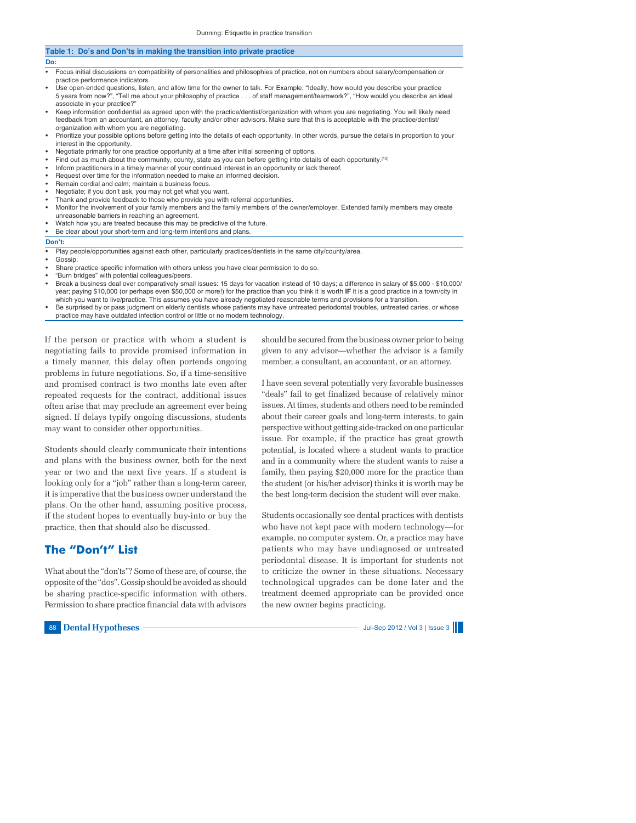| Table 1: Do's and Don'ts in making the transition into private practice |                                                                                                                                                                                                                                                                                                                                 |  |
|-------------------------------------------------------------------------|---------------------------------------------------------------------------------------------------------------------------------------------------------------------------------------------------------------------------------------------------------------------------------------------------------------------------------|--|
| Do:                                                                     |                                                                                                                                                                                                                                                                                                                                 |  |
| ٠                                                                       | Focus initial discussions on compatibility of personalities and philosophies of practice, not on numbers about salary/compensation or<br>practice performance indicators.                                                                                                                                                       |  |
| $\bullet$                                                               | Use open-ended questions, listen, and allow time for the owner to talk. For Example, "Ideally, how would you describe your practice<br>5 years from now?", "Tell me about your philosophy of practice of staff management/teamwork?", "How would you describe an ideal<br>associate in your practice?"                          |  |
| $\bullet$                                                               | Keep information confidential as agreed upon with the practice/dentist/organization with whom you are negotiating. You will likely need<br>feedback from an accountant, an attorney, faculty and/or other advisors. Make sure that this is acceptable with the practice/dentist/<br>organization with whom you are negotiating. |  |
| $\bullet$                                                               | Prioritize your possible options before getting into the details of each opportunity. In other words, pursue the details in proportion to your<br>interest in the opportunity.                                                                                                                                                  |  |
| ٠                                                                       | Negotiate primarily for one practice opportunity at a time after initial screening of options.                                                                                                                                                                                                                                  |  |
| $\bullet$                                                               | Find out as much about the community, county, state as you can before getting into details of each opportunity. <sup>[10]</sup>                                                                                                                                                                                                 |  |
| ٠                                                                       | Inform practitioners in a timely manner of your continued interest in an opportunity or lack thereof.                                                                                                                                                                                                                           |  |
| $\bullet$                                                               | Request over time for the information needed to make an informed decision.                                                                                                                                                                                                                                                      |  |
| ٠                                                                       | Remain cordial and calm; maintain a business focus.                                                                                                                                                                                                                                                                             |  |
| ٠                                                                       | Negotiate; if you don't ask, you may not get what you want.                                                                                                                                                                                                                                                                     |  |
|                                                                         | • Thank and provide feedback to those who provide you with referral opportunities.                                                                                                                                                                                                                                              |  |
| ٠                                                                       | Monitor the involvement of your family members and the family members of the owner/employer. Extended family members may create<br>unreasonable barriers in reaching an agreement.                                                                                                                                              |  |
|                                                                         | • Watch how you are treated because this may be predictive of the future.                                                                                                                                                                                                                                                       |  |
| ٠                                                                       | Be clear about your short-term and long-term intentions and plans.                                                                                                                                                                                                                                                              |  |
|                                                                         | Don't:                                                                                                                                                                                                                                                                                                                          |  |
| ٠                                                                       | Play people/opportunities against each other, particularly practices/dentists in the same city/county/area.<br>Gossip.                                                                                                                                                                                                          |  |

- Share practice-specific information with others unless you have clear permission to do so.
- "Burn bridges" with potential colleagues/peers.
- Break a business deal over comparatively small issues: 15 days for vacation instead of 10 days; a difference in salary of \$5,000 \$10,000/ year; paying \$10,000 (or perhaps even \$50,000 or more!) for the practice than you think it is worth **IF** it is a good practice in a town/city in which you want to live/practice. This assumes you have already negotiated reasonable terms and provisions for a transition.
- Be surprised by or pass judgment on elderly dentists whose patients may have untreated periodontal troubles, untreated caries, or whose practice may have outdated infection control or little or no modern technology.

If the person or practice with whom a student is negotiating fails to provide promised information in a timely manner, this delay often portends ongoing problems in future negotiations. So, if a time-sensitive and promised contract is two months late even after repeated requests for the contract, additional issues often arise that may preclude an agreement ever being signed. If delays typify ongoing discussions, students may want to consider other opportunities.

Students should clearly communicate their intentions and plans with the business owner, both for the next year or two and the next five years. If a student is looking only for a "job" rather than a long-term career, it is imperative that the business owner understand the plans. On the other hand, assuming positive process, if the student hopes to eventually buy-into or buy the practice, then that should also be discussed.

#### **The "Don't" List**

What about the "don'ts"? Some of these are, of course, the opposite of the "dos". Gossip should be avoided as should be sharing practice-specific information with others. Permission to share practice financial data with advisors

88 **Dental Hypotheses**  $\longrightarrow$  Jul-Sep 2012 / Vol 3 | Issue 3 |

should be secured from the business owner prior to being given to any advisor—whether the advisor is a family member, a consultant, an accountant, or an attorney.

I have seen several potentially very favorable businesses "deals" fail to get finalized because of relatively minor issues. At times, students and others need to be reminded about their career goals and long-term interests, to gain perspective without getting side-tracked on one particular issue. For example, if the practice has great growth potential, is located where a student wants to practice and in a community where the student wants to raise a family, then paying \$20,000 more for the practice than the student (or his/her advisor) thinks it is worth may be the best long-term decision the student will ever make.

Students occasionally see dental practices with dentists who have not kept pace with modern technology—for example, no computer system. Or, a practice may have patients who may have undiagnosed or untreated periodontal disease. It is important for students not to criticize the owner in these situations. Necessary technological upgrades can be done later and the treatment deemed appropriate can be provided once the new owner begins practicing.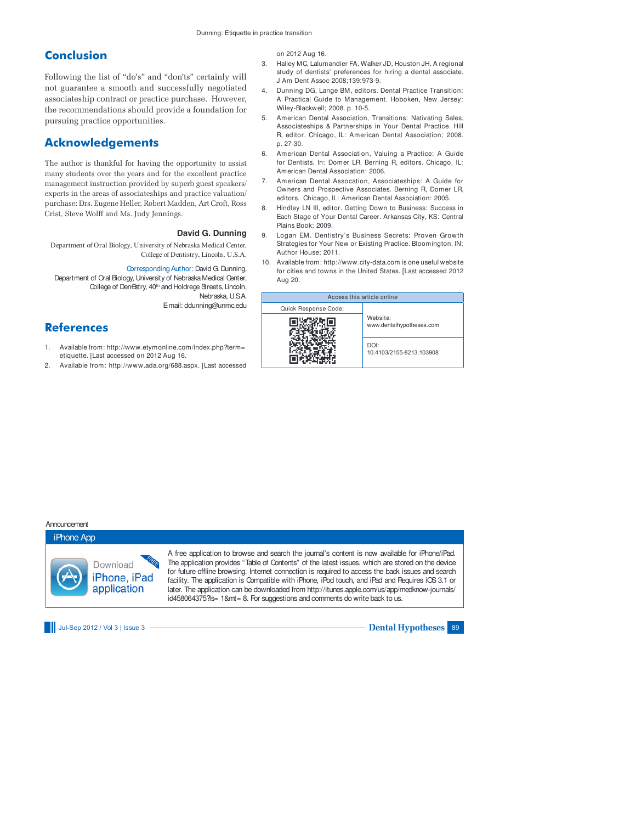#### **Conclusion**

Following the list of "do's" and "don'ts" certainly will not guarantee a smooth and successfully negotiated associateship contract or practice purchase. However, the recommendations should provide a foundation for pursuing practice opportunities.

### **Acknowledgements**

The author is thankful for having the opportunity to assist many students over the years and for the excellent practice management instruction provided by superb guest speakers/ experts in the areas of associateships and practice valuation/ purchase: Drs. Eugene Heller, Robert Madden, Art Croft, Ross Crist, Steve Wolff and Ms. Judy Jennings.

#### **David G. Dunning**

Department of Oral Biology, University of Nebraska Medical Center, College of Dentistry, Lincoln, U.S.A.

Corresponding Author: David G. Dunning,

Department of Oral Biology, University of Nebraska Medical Center, College of Den Gstry, 40<sup>th</sup> and Holdrege Streets, Lincoln, Nebraska, U.S.A. E-mail: ddunning@unmc.edu

#### **References**

- 1. Available from: http://www.etymonline.com/index.php?term= etiquette. [Last accessed on 2012 Aug 16.
- 2. Available from: http://www.ada.org/688.aspx. [Last accessed

on 2012 Aug 16.

- 3. Halley MC, Lalumandier FA, Walker JD, Houston JH. A regional study of dentists' preferences for hiring a dental associate. J Am Dent Assoc 2008;139:973-9.
- 4. Dunning DG, Lange BM, editors. Dental Practice Transition: A Practical Guide to Management. Hoboken, New Jersey: Wiley-Blackwell; 2008. p. 10-5.
- 5. American Dental Association, Transitions: Nativating Sales, Associateships & Partnerships in Your Dental Practice. Hill R, editor. Chicago, IL: American Dental Association; 2008. p. 27-30.
- 6. American Dental Association, Valuing a Practice: A Guide for Dentists. In: Domer LR, Berning R, editors. Chicago, IL: American Dental Association: 2006.
- 7. American Dental Assocation, Associateships: A Guide for Owners and Prospective Associates. Berning R, Domer LR, editors. Chicago, IL: American Dental Association: 2005.
- Hindley LN III, editor. Getting Down to Business: Success in Each Stage of Your Dental Career. Arkansas City, KS: Central Plains Book; 2009.
- 9. Logan EM. Dentistry's Business Secrets: Proven Growth Strategies for Your New or Existing Practice. Bloomington, IN: Author House; 2011.
- 10. Available from: http://www.city-data.com is one useful website for cities and towns in the United States. [Last accessed 2012 Aug 20.



Announcement

iPhone App Download iPhone, iPad application

A free application to browse and search the journal's content is now available for iPhone/iPad. The application provides "Table of Contents" of the latest issues, which are stored on the device for future offline browsing. Internet connection is required to access the back issues and search facility. The application is Compatible with iPhone, iPod touch, and iPad and Requires iOS 3.1 or later. The application can be downloaded from http://itunes.apple.com/us/app/medknow-journals/ id458064375?ls= 1&mt= 8. For suggestions and comments do write back to us.